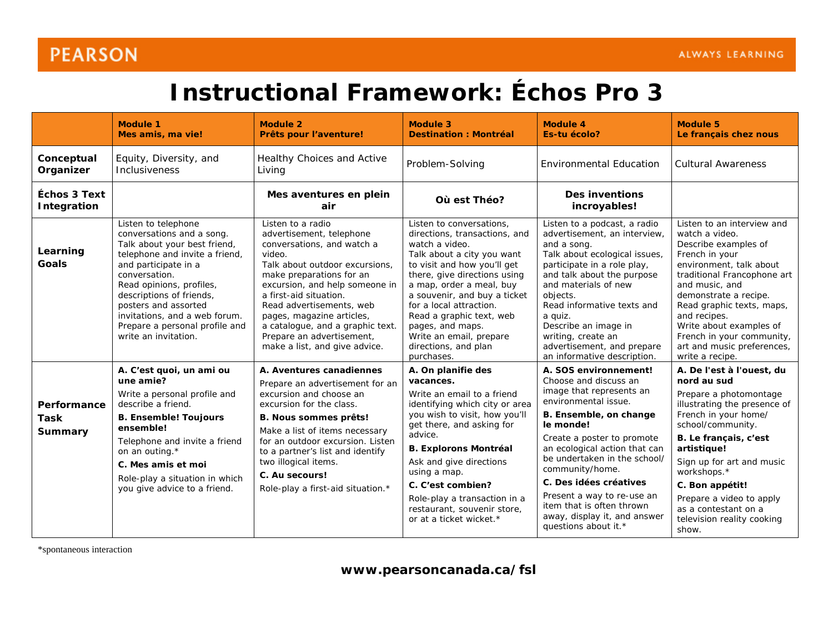## **PEARSON**

## **Instructional Framework:** *Échos Pro 3*

|                                           | <b>Module 1</b><br>Mes amis, ma vie!                                                                                                                                                                                                                                                                                                   | <b>Module 2</b><br>Prêts pour l'aventure!                                                                                                                                                                                                                                                                                                                                  | <b>Module 3</b><br><b>Destination: Montréal</b>                                                                                                                                                                                                                                                                                                                                  | <b>Module 4</b><br>Es-tu écolo?                                                                                                                                                                                                                                                                                                                                                                          | <b>Module 5</b><br>Le français chez nous                                                                                                                                                                                                                                                                                                          |
|-------------------------------------------|----------------------------------------------------------------------------------------------------------------------------------------------------------------------------------------------------------------------------------------------------------------------------------------------------------------------------------------|----------------------------------------------------------------------------------------------------------------------------------------------------------------------------------------------------------------------------------------------------------------------------------------------------------------------------------------------------------------------------|----------------------------------------------------------------------------------------------------------------------------------------------------------------------------------------------------------------------------------------------------------------------------------------------------------------------------------------------------------------------------------|----------------------------------------------------------------------------------------------------------------------------------------------------------------------------------------------------------------------------------------------------------------------------------------------------------------------------------------------------------------------------------------------------------|---------------------------------------------------------------------------------------------------------------------------------------------------------------------------------------------------------------------------------------------------------------------------------------------------------------------------------------------------|
| Conceptual<br>Organizer                   | Equity, Diversity, and<br>Inclusiveness                                                                                                                                                                                                                                                                                                | Healthy Choices and Active<br>Living                                                                                                                                                                                                                                                                                                                                       | Problem-Solving                                                                                                                                                                                                                                                                                                                                                                  | <b>Environmental Education</b>                                                                                                                                                                                                                                                                                                                                                                           | <b>Cultural Awareness</b>                                                                                                                                                                                                                                                                                                                         |
| <i><b>Échos 3 Text</b></i><br>Integration |                                                                                                                                                                                                                                                                                                                                        | Mes aventures en plein<br>air                                                                                                                                                                                                                                                                                                                                              | Où est Théo?                                                                                                                                                                                                                                                                                                                                                                     | <b>Des inventions</b><br>incroyables!                                                                                                                                                                                                                                                                                                                                                                    |                                                                                                                                                                                                                                                                                                                                                   |
| Learning<br>Goals                         | Listen to telephone<br>conversations and a song.<br>Talk about your best friend,<br>telephone and invite a friend,<br>and participate in a<br>conversation.<br>Read opinions, profiles,<br>descriptions of friends,<br>posters and assorted<br>invitations, and a web forum.<br>Prepare a personal profile and<br>write an invitation. | Listen to a radio<br>advertisement, telephone<br>conversations, and watch a<br>video.<br>Talk about outdoor excursions,<br>make preparations for an<br>excursion, and help someone in<br>a first-aid situation.<br>Read advertisements, web<br>pages, magazine articles,<br>a catalogue, and a graphic text.<br>Prepare an advertisement,<br>make a list, and give advice. | Listen to conversations.<br>directions, transactions, and<br>watch a video.<br>Talk about a city you want<br>to visit and how you'll get<br>there, give directions using<br>a map, order a meal, buy<br>a souvenir, and buy a ticket<br>for a local attraction.<br>Read a graphic text, web<br>pages, and maps.<br>Write an email, prepare<br>directions, and plan<br>purchases. | Listen to a podcast, a radio<br>advertisement, an interview,<br>and a song.<br>Talk about ecological issues,<br>participate in a role play,<br>and talk about the purpose<br>and materials of new<br>objects.<br>Read informative texts and<br>a quiz.<br>Describe an image in<br>writing, create an<br>advertisement, and prepare<br>an informative description.                                        | Listen to an interview and<br>watch a video.<br>Describe examples of<br>French in your<br>environment, talk about<br>traditional Francophone art<br>and music, and<br>demonstrate a recipe.<br>Read graphic texts, maps,<br>and recipes.<br>Write about examples of<br>French in your community,<br>art and music preferences,<br>write a recipe. |
| Performance<br><b>Task</b><br>Summary     | A. C'est quoi, un ami ou<br>une amie?<br>Write a personal profile and<br>describe a friend.<br><b>B. Ensemble! Toujours</b><br>ensemble!<br>Telephone and invite a friend<br>on an outing.*<br>C. Mes amis et moi<br>Role-play a situation in which<br>you give advice to a friend.                                                    | A. Aventures canadiennes<br>Prepare an advertisement for an<br>excursion and choose an<br>excursion for the class.<br><b>B. Nous sommes prêts!</b><br>Make a list of items necessary<br>for an outdoor excursion. Listen<br>to a partner's list and identify<br>two illogical items.<br>C. Au secours!<br>Role-play a first-aid situation.*                                | A. On planifie des<br>vacances.<br>Write an email to a friend<br>identifying which city or area<br>you wish to visit, how you'll<br>get there, and asking for<br>advice.<br><b>B. Explorons Montréal</b><br>Ask and give directions<br>using a map.<br>C. C'est combien?<br>Role-play a transaction in a<br>restaurant, souvenir store,<br>or at a ticket wicket.*               | A. SOS environnement!<br>Choose and discuss an<br>image that represents an<br>environmental issue.<br>B. Ensemble, on change<br>le monde!<br>Create a poster to promote<br>an ecological action that can<br>be undertaken in the school/<br>community/home.<br>C. Des idées créatives<br>Present a way to re-use an<br>item that is often thrown<br>away, display it, and answer<br>questions about it.* | A. De l'est à l'ouest, du<br>nord au sud<br>Prepare a photomontage<br>illustrating the presence of<br>French in your home/<br>school/community.<br>B. Le français, c'est<br>artistique!<br>Sign up for art and music<br>workshops.*<br>C. Bon appétit!<br>Prepare a video to apply<br>as a contestant on a<br>television reality cooking<br>show. |

\*spontaneous interaction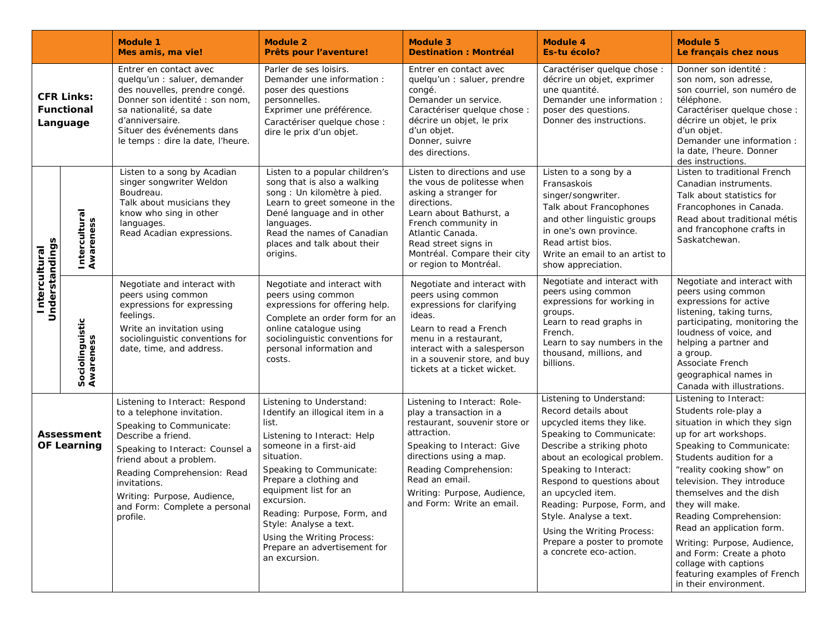|                                                    |                                         | <b>Module 1</b><br>Mes amis, ma vie!                                                                                                                                                                                                                                                                    | <b>Module 2</b><br>Prêts pour l'aventure!                                                                                                                                                                                                                                                                                                                                        | <b>Module 3</b><br><b>Destination: Montréal</b>                                                                                                                                                                                                                          | <b>Module 4</b><br><b>Es-tu écolo?</b>                                                                                                                                                                                                                                                                                                                                                             | <b>Module 5</b><br>Le français chez nous                                                                                                                                                                                                                                                                                                                                                                                                                                    |
|----------------------------------------------------|-----------------------------------------|---------------------------------------------------------------------------------------------------------------------------------------------------------------------------------------------------------------------------------------------------------------------------------------------------------|----------------------------------------------------------------------------------------------------------------------------------------------------------------------------------------------------------------------------------------------------------------------------------------------------------------------------------------------------------------------------------|--------------------------------------------------------------------------------------------------------------------------------------------------------------------------------------------------------------------------------------------------------------------------|----------------------------------------------------------------------------------------------------------------------------------------------------------------------------------------------------------------------------------------------------------------------------------------------------------------------------------------------------------------------------------------------------|-----------------------------------------------------------------------------------------------------------------------------------------------------------------------------------------------------------------------------------------------------------------------------------------------------------------------------------------------------------------------------------------------------------------------------------------------------------------------------|
| <b>CFR Links:</b><br><b>Functional</b><br>Language |                                         | Entrer en contact avec<br>quelqu'un : saluer, demander<br>des nouvelles, prendre congé.<br>Donner son identité : son nom,<br>sa nationalité, sa date<br>d'anniversaire.<br>Situer des événements dans<br>le temps : dire la date, l'heure.                                                              | Parler de ses loisirs.<br>Demander une information :<br>poser des questions<br>personnelles.<br>Exprimer une préférence.<br>Caractériser quelque chose :<br>dire le prix d'un objet.                                                                                                                                                                                             | Entrer en contact avec<br>quelqu'un : saluer, prendre<br>congé.<br>Demander un service.<br>Caractériser quelque chose :<br>décrire un objet, le prix<br>d'un objet.<br>Donner, suivre<br>des directions.                                                                 | Caractériser quelque chose :<br>décrire un objet, exprimer<br>une quantité.<br>Demander une information :<br>poser des questions.<br>Donner des instructions.                                                                                                                                                                                                                                      | Donner son identité :<br>son nom, son adresse,<br>son courriel, son numéro de<br>téléphone.<br>Caractériser quelque chose :<br>décrire un objet, le prix<br>d'un objet.<br>Demander une information :<br>la date, l'heure. Donner<br>des instructions.                                                                                                                                                                                                                      |
| Understandings<br>Intercultural                    | Intercultural<br>Awareness              | Listen to a song by Acadian<br>singer songwriter Weldon<br>Boudreau.<br>Talk about musicians they<br>know who sing in other<br>languages.<br>Read Acadian expressions.                                                                                                                                  | Listen to a popular children's<br>song that is also a walking<br>song : Un kilomètre à pied.<br>Learn to greet someone in the<br>Dené language and in other<br>languages.<br>Read the names of Canadian<br>places and talk about their<br>origins.                                                                                                                               | Listen to directions and use<br>the vous de politesse when<br>asking a stranger for<br>directions.<br>Learn about Bathurst, a<br>French community in<br>Atlantic Canada.<br>Read street signs in<br>Montréal. Compare their city<br>or region to Montréal.               | Listen to a song by a<br>Fransaskois<br>singer/songwriter.<br>Talk about Francophones<br>and other linguistic groups<br>in one's own province.<br>Read artist bios.<br>Write an email to an artist to<br>show appreciation.                                                                                                                                                                        | Listen to traditional French<br>Canadian instruments.<br>Talk about statistics for<br>Francophones in Canada.<br>Read about traditional métis<br>and francophone crafts in<br>Saskatchewan.                                                                                                                                                                                                                                                                                 |
|                                                    | Sociolinguistic<br>Awareness            | Negotiate and interact with<br>peers using common<br>expressions for expressing<br>feelings.<br>Write an invitation using<br>sociolinguistic conventions for<br>date, time, and address.                                                                                                                | Negotiate and interact with<br>peers using common<br>expressions for offering help.<br>Complete an order form for an<br>online catalogue using<br>sociolinguistic conventions for<br>personal information and<br>costs.                                                                                                                                                          | Negotiate and interact with<br>peers using common<br>expressions for clarifying<br>ideas.<br>Learn to read a French<br>menu in a restaurant,<br>interact with a salesperson<br>in a souvenir store, and buy<br>tickets at a ticket wicket.                               | Negotiate and interact with<br>peers using common<br>expressions for working in<br>groups.<br>Learn to read graphs in<br>French.<br>Learn to say numbers in the<br>thousand, millions, and<br>billions.                                                                                                                                                                                            | Negotiate and interact with<br>peers using common<br>expressions for active<br>listening, taking turns,<br>participating, monitoring the<br>loudness of voice, and<br>helping a partner and<br>a group.<br>Associate French<br>geographical names in<br>Canada with illustrations.                                                                                                                                                                                          |
|                                                    | <b>Assessment</b><br><b>OF Learning</b> | Listening to Interact: Respond<br>to a telephone invitation.<br>Speaking to Communicate:<br>Describe a friend.<br>Speaking to Interact: Counsel a<br>friend about a problem.<br>Reading Comprehension: Read<br>invitations.<br>Writing: Purpose, Audience,<br>and Form: Complete a personal<br>profile. | Listening to Understand:<br>Identify an illogical item in a<br>list.<br>Listening to Interact: Help<br>someone in a first-aid<br>situation.<br>Speaking to Communicate:<br>Prepare a clothing and<br>equipment list for an<br>excursion.<br>Reading: Purpose, Form, and<br>Style: Analyse a text.<br>Using the Writing Process:<br>Prepare an advertisement for<br>an excursion. | Listening to Interact: Role-<br>play a transaction in a<br>restaurant, souvenir store or<br>attraction.<br>Speaking to Interact: Give<br>directions using a map.<br>Reading Comprehension:<br>Read an email.<br>Writing: Purpose, Audience,<br>and Form: Write an email. | Listening to Understand:<br>Record details about<br>upcycled items they like.<br>Speaking to Communicate:<br>Describe a striking photo<br>about an ecological problem.<br>Speaking to Interact:<br>Respond to questions about<br>an upcycled item.<br>Reading: Purpose, Form, and<br>Style. Analyse a text.<br>Using the Writing Process:<br>Prepare a poster to promote<br>a concrete eco-action. | Listening to Interact:<br>Students role-play a<br>situation in which they sign<br>up for art workshops.<br>Speaking to Communicate:<br>Students audition for a<br>"reality cooking show" on<br>television. They introduce<br>themselves and the dish<br>they will make.<br>Reading Comprehension:<br>Read an application form.<br>Writing: Purpose, Audience,<br>and Form: Create a photo<br>collage with captions<br>featuring examples of French<br>in their environment. |